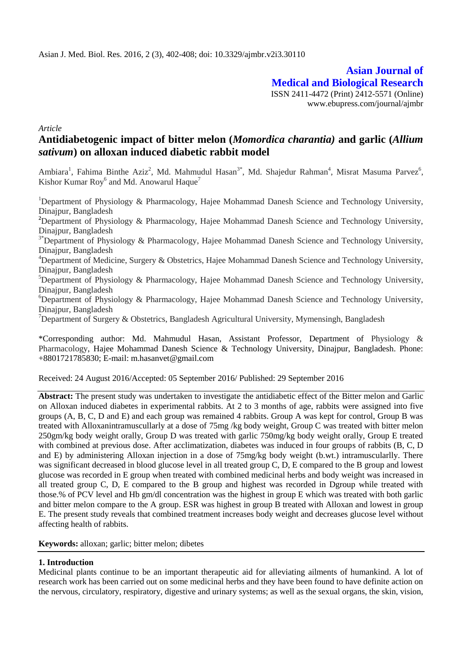**Asian Journal of Medical and Biological Research** ISSN 2411-4472 (Print) 2412-5571 (Online) www.ebupress.com/journal/ajmbr

*Article*

# **Antidiabetogenic impact of bitter melon (***Momordica charantia)* **and garlic (***Allium sativum***) on alloxan induced diabetic rabbit model**

Ambiara<sup>1</sup>, Fahima Binthe Aziz<sup>2</sup>, Md. Mahmudul Hasan<sup>3\*</sup>, Md. Shajedur Rahman<sup>4</sup>, Misrat Masuma Parvez<sup>6</sup>, Kishor Kumar Roy<sup>6</sup> and Md. Anowarul Haque<sup>7</sup>

<sup>1</sup>Department of Physiology & Pharmacology, Hajee Mohammad Danesh Science and Technology University, Dinajpur, Bangladesh

<sup>2</sup>Department of Physiology & Pharmacology, Hajee Mohammad Danesh Science and Technology University, Dinajpur, Bangladesh

<sup>3\*</sup>Department of Physiology & Pharmacology, Hajee Mohammad Danesh Science and Technology University, Dinajpur, Bangladesh

<sup>4</sup>Department of Medicine, Surgery & Obstetrics, Hajee Mohammad Danesh Science and Technology University, Dinajpur, Bangladesh

 $5$ Department of Physiology & Pharmacology, Hajee Mohammad Danesh Science and Technology University, Dinajpur, Bangladesh

 ${}^{6}$ Department of Physiology & Pharmacology, Hajee Mohammad Danesh Science and Technology University, Dinajpur, Bangladesh

 $7$ Department of Surgery & Obstetrics, Bangladesh Agricultural University, Mymensingh, Bangladesh

\*Corresponding author: Md. Mahmudul Hasan, Assistant Professor, Department of Physiology & Pharmacology, Hajee Mohammad Danesh Science & Technology University, Dinajpur, Bangladesh. Phone: +8801721785830; E-mail: m.hasanvet@gmail.com

Received: 24 August 2016/Accepted: 05 September 2016/ Published: 29 September 2016

**Abstract:** The present study was undertaken to investigate the antidiabetic effect of the Bitter melon and Garlic on Alloxan induced diabetes in experimental rabbits. At 2 to 3 months of age, rabbits were assigned into five groups (A, B, C, D and E) and each group was remained 4 rabbits. Group A was kept for control, Group B was treated with Alloxanintramuscullarly at a dose of 75mg /kg body weight, Group C was treated with bitter melon 250gm/kg body weight orally, Group D was treated with garlic 750mg/kg body weight orally, Group E treated with combined at previous dose. After acclimatization, diabetes was induced in four groups of rabbits (B, C, D and E) by administering Alloxan injection in a dose of 75mg/kg body weight (b.wt.) intramuscularlly. There was significant decreased in blood glucose level in all treated group C, D, E compared to the B group and lowest glucose was recorded in E group when treated with combined medicinal herbs and body weight was increased in all treated group C, D, E compared to the B group and highest was recorded in Dgroup while treated with those.% of PCV level and Hb gm/dl concentration was the highest in group E which was treated with both garlic and bitter melon compare to the A group. ESR was highest in group B treated with Alloxan and lowest in group E. The present study reveals that combined treatment increases body weight and decreases glucose level without affecting health of rabbits.

**Keywords:** alloxan; garlic; bitter melon; dibetes

# **1. Introduction**

Medicinal plants continue to be an important therapeutic aid for alleviating ailments of humankind. A lot of research work has been carried out on some medicinal herbs and they have been found to have definite action on the nervous, circulatory, respiratory, digestive and urinary systems; as well as the sexual organs, the skin, vision,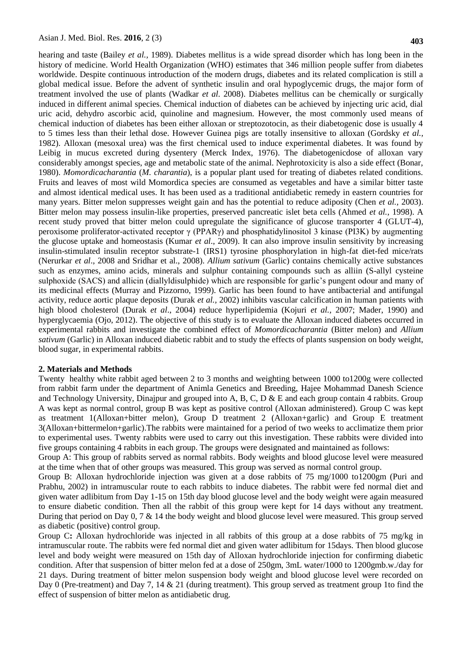hearing and taste (Bailey *et al.,* 1989). Diabetes mellitus is a wide spread disorder which has long been in the history of medicine. World Health Organization (WHO) estimates that 346 million people suffer from diabetes worldwide. Despite continuous introduction of the modern drugs, diabetes and its related complication is still a global medical issue. Before the advent of synthetic insulin and oral hypoglycemic drugs, the major form of treatment involved the use of plants (Wadkar *et al.* 2008). Diabetes mellitus can be chemically or surgically induced in different animal species. Chemical induction of diabetes can be achieved by injecting uric acid, dial uric acid, dehydro ascorbic acid, quinoline and magnesium. However, the most commonly used means of chemical induction of diabetes has been either alloxan or streptozotocin, as their diabetogenic dose is usually 4 to 5 times less than their lethal dose. However Guinea pigs are totally insensitive to alloxan (Gordsky *et al.,* 1982). Alloxan (mesoxal urea) was the first chemical used to induce experimental diabetes. It was found by Leibig in mucus excreted during dysentery (Merck Index, 1976). The diabetogenicdose of alloxan vary considerably amongst species, age and metabolic state of the animal. Nephrotoxicity is also a side effect (Bonar, 1980). *Momordicacharantia* (*M. charantia*), is a popular plant used for treating of diabetes related conditions. Fruits and leaves of most wild Momordica species are consumed as vegetables and have a similar bitter taste and almost identical medical uses. It has been used as a traditional antidiabetic remedy in eastern countries for many years. Bitter melon suppresses weight gain and has the potential to reduce adiposity (Chen *et al.,* 2003). Bitter melon may possess insulin-like properties, preserved pancreatic islet beta cells (Ahmed *et al.,* 1998). A recent study proved that bitter melon could upregulate the significance of glucose transporter 4 (GLUT-4), peroxisome proliferator-activated receptor γ (PPARγ) and phosphatidylinositol 3 kinase (PI3K) by augmenting the glucose uptake and homeostasis (Kumar *et al*., 2009). It can also improve insulin sensitivity by increasing insulin-stimulated insulin receptor substrate-1 (IRS1) tyrosine phosphorylation in high-fat diet-fed mice/rats (Nerurkar *et al*., 2008 and Sridhar et al., 2008). *Allium sativum* (Garlic) contains chemically active substances such as enzymes, amino acids, minerals and sulphur containing compounds such as alliin (S-allyl cysteine sulphoxide (SACS) and allicin (diallyldisulphide) which are responsible for garlic's pungent odour and many of its medicinal effects (Murray and Pizzorno, 1999). Garlic has been found to have antibacterial and antifungal activity, reduce aortic plaque deposits (Durak *et al.,* 2002) inhibits vascular calcification in human patients with high blood cholesterol (Durak *et al*., 2004) reduce hyperlipidemia (Kojuri *et al.,* 2007; Mader, 1990) and hyperglycaemia (Ojo, 2012). The objective of this study is to evaluate the Alloxan induced diabetes occurred in experimental rabbits and investigate the combined effect of *Momordicacharantia* (Bitter melon) and *Allium sativum* (Garlic) in Alloxan induced diabetic rabbit and to study the effects of plants suspension on body weight, blood sugar, in experimental rabbits.

#### **2. Materials and Methods**

Twenty healthy white rabbit aged between 2 to 3 months and weighting between 1000 to1200g were collected from rabbit farm under the department of Animla Genetics and Breeding, Hajee Mohammad Danesh Science and Technology University, Dinajpur and grouped into A, B, C, D  $\&$  E and each group contain 4 rabbits. Group A was kept as normal control, group B was kept as positive control (Alloxan administered). Group C was kept as treatment 1(Alloxan+bitter melon), Group D treatment 2 (Alloxan+garlic) and Group E treatment 3(Alloxan+bittermelon+garlic).The rabbits were maintained for a period of two weeks to acclimatize them prior to experimental uses. Twenty rabbits were used to carry out this investigation. These rabbits were divided into five groups containing 4 rabbits in each group. The groups were designated and maintained as follows:

Group A: This group of rabbits served as normal rabbits. Body weights and blood glucose level were measured at the time when that of other groups was measured. This group was served as normal control group.

Group B: Alloxan hydrochloride injection was given at a dose rabbits of 75 mg/1000 to1200gm (Puri and Prabhu, 2002) in intramuscular route to each rabbits to induce diabetes. The rabbit were fed normal diet and given water adlibitum from Day 1-15 on 15th day blood glucose level and the body weight were again measured to ensure diabetic condition. Then all the rabbit of this group were kept for 14 days without any treatment. During that period on Day 0, 7 & 14 the body weight and blood glucose level were measured. This group served as diabetic (positive) control group.

Group C**:** Alloxan hydrochloride was injected in all rabbits of this group at a dose rabbits of 75 mg/kg in intramuscular route. The rabbits were fed normal diet and given water adlibitum for 15days. Then blood glucose level and body weight were measured on 15th day of Alloxan hydrochloride injection for confirming diabetic condition. After that suspension of bitter melon fed at a dose of 250gm, 3mL water/1000 to 1200gmb.w./day for 21 days. During treatment of bitter melon suspension body weight and blood glucose level were recorded on Day 0 (Pre-treatment) and Day 7, 14 & 21 (during treatment). This group served as treatment group 1to find the effect of suspension of bitter melon as antidiabetic drug.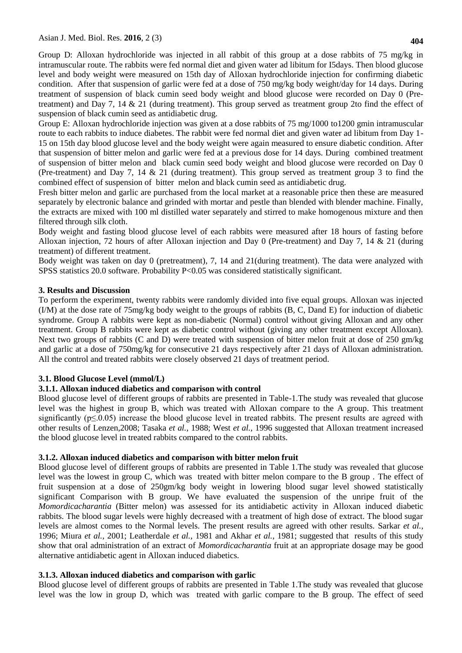Group D: Alloxan hydrochloride was injected in all rabbit of this group at a dose rabbits of 75 mg/kg in intramuscular route. The rabbits were fed normal diet and given water ad libitum for I5days. Then blood glucose level and body weight were measured on 15th day of Alloxan hydrochloride injection for confirming diabetic condition. After that suspension of garlic were fed at a dose of 750 mg/kg body weight/day for 14 days. During treatment of suspension of black cumin seed body weight and blood glucose were recorded on Day 0 (Pretreatment) and Day 7, 14 & 21 (during treatment). This group served as treatment group 2to find the effect of suspension of black cumin seed as antidiabetic drug.

Group E: Alloxan hydrochloride injection was given at a dose rabbits of 75 mg/1000 to1200 gmin intramuscular route to each rabbits to induce diabetes. The rabbit were fed normal diet and given water ad libitum from Day 1- 15 on 15th day blood glucose level and the body weight were again measured to ensure diabetic condition. After that suspension of bitter melon and garlic were fed at a previous dose for 14 days. During combined treatment of suspension of bitter melon and black cumin seed body weight and blood glucose were recorded on Day 0 (Pre-treatment) and Day 7, 14 & 21 (during treatment). This group served as treatment group 3 to find the combined effect of suspension of bitter melon and black cumin seed as antidiabetic drug.

Fresh bitter melon and garlic are purchased from the local market at a reasonable price then these are measured separately by electronic balance and grinded with mortar and pestle than blended with blender machine. Finally, the extracts are mixed with 100 ml distilled water separately and stirred to make homogenous mixture and then filtered through silk cloth.

Body weight and fasting blood glucose level of each rabbits were measured after 18 hours of fasting before Alloxan injection, 72 hours of after Alloxan injection and Day 0 (Pre-treatment) and Day 7, 14 & 21 (during treatment) of different treatment.

Body weight was taken on day 0 (pretreatment), 7, 14 and 21(during treatment). The data were analyzed with SPSS statistics 20.0 software. Probability P<0.05 was considered statistically significant.

# **3. Results and Discussion**

To perform the experiment, twenty rabbits were randomly divided into five equal groups. Alloxan was injected (I/M) at the dose rate of 75mg/kg body weight to the groups of rabbits (B, C, Dand E) for induction of diabetic syndrome. Group A rabbits were kept as non-diabetic (Normal) control without giving Alloxan and any other treatment. Group B rabbits were kept as diabetic control without (giving any other treatment except Alloxan). Next two groups of rabbits (C and D) were treated with suspension of bitter melon fruit at dose of 250 gm/kg and garlic at a dose of 750mg/kg for consecutive 21 days respectively after 21 days of Alloxan administration. All the control and treated rabbits were closely observed 21 days of treatment period.

# **3.1. Blood Glucose Level (mmol/L)**

## **3.1.1. Alloxan induced diabetics and comparison with control**

Blood glucose level of different groups of rabbits are presented in Table-1.The study was revealed that glucose level was the highest in group B, which was treated with Alloxan compare to the A group. This treatment significantly ( $p \le 0.05$ ) increase the blood glucose level in treated rabbits. The present results are agreed with other results of Lenzen,2008; Tasaka *et al.,* 1988; West *et al.,* 1996 suggested that Alloxan treatment increased the blood glucose level in treated rabbits compared to the control rabbits.

## **3.1.2. Alloxan induced diabetics and comparison with bitter melon fruit**

Blood glucose level of different groups of rabbits are presented in Table 1.The study was revealed that glucose level was the lowest in group C, which was treated with bitter melon compare to the B group . The effect of fruit suspension at a dose of 250gm/kg body weight in lowering blood sugar level showed statistically significant Comparison with B group. We have evaluated the suspension of the unripe fruit of the *Momordicacharantia* (Bitter melon) was assessed for its antidiabetic activity in Alloxan induced diabetic rabbits. The blood sugar levels were highly decreased with a treatment of high dose of extract. The blood sugar levels are almost comes to the Normal levels. The present results are agreed with other results. Sarkar *et al.,* 1996; Miura *et al.,* 2001; Leatherdale *et al.,* 1981 and Akhar *et al.,* 1981; suggested that results of this study show that oral administration of an extract of *Momordicacharantia* fruit at an appropriate dosage may be good alternative antidiabetic agent in Alloxan induced diabetics.

## **3.1.3. Alloxan induced diabetics and comparison with garlic**

Blood glucose level of different groups of rabbits are presented in Table 1.The study was revealed that glucose level was the low in group D, which was treated with garlic compare to the B group. The effect of seed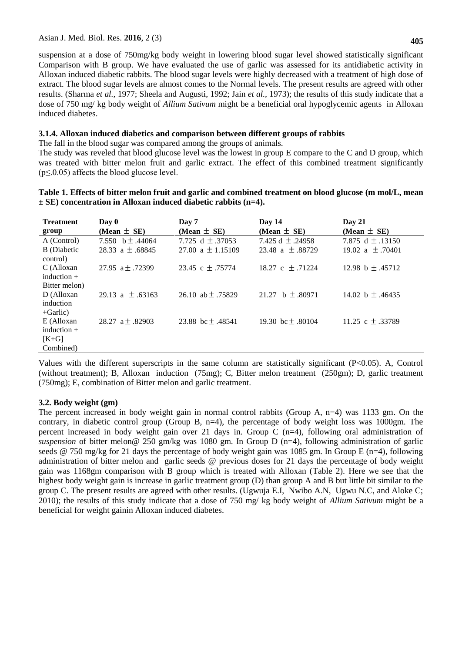suspension at a dose of 750mg/kg body weight in lowering blood sugar level showed statistically significant Comparison with B group. We have evaluated the use of garlic was assessed for its antidiabetic activity in Alloxan induced diabetic rabbits. The blood sugar levels were highly decreased with a treatment of high dose of extract. The blood sugar levels are almost comes to the Normal levels. The present results are agreed with other results. (Sharma *et al.,* 1977; Sheela and Augusti, 1992; Jain *et al.,* 1973); the results of this study indicate that a dose of 750 mg/ kg body weight of *Allium Sativum* might be a beneficial oral hypoglycemic agents in Alloxan induced diabetes.

## **3.1.4. Alloxan induced diabetics and comparison between different groups of rabbits**

The fall in the blood sugar was compared among the groups of animals.

The study was reveled that blood glucose level was the lowest in group E compare to the C and D group, which was treated with bitter melon fruit and garlic extract. The effect of this combined treatment significantly  $(p \le 0.05)$  affects the blood glucose level.

| Table 1. Effects of bitter melon fruit and garlic and combined treatment on blood glucose (m mol/L, mean |  |
|----------------------------------------------------------------------------------------------------------|--|
| $\pm$ SE) concentration in Alloxan induced diabetic rabbits (n=4).                                       |  |

| <b>Treatment</b>                                    | Day 0                      | Day 7                 | Day 14                | $\bf{D}$ av 21       |
|-----------------------------------------------------|----------------------------|-----------------------|-----------------------|----------------------|
| group                                               | (Mean $\pm$ SE)            | (Mean $\pm$ SE)       | (Mean $\pm$ SE)       | (Mean $\pm$ SE)      |
| A (Control)                                         | 7.550 b $\pm$ .44064       | 7.725 d $\pm$ 37053   | 7.425 d $\pm$ .24958  | 7.875 d $\pm$ .13150 |
| <b>B</b> (Diabetic<br>control)                      | $28.33 \text{ a} + .68845$ | $27.00 a + 1.15109$   | $23.48$ a + .88729    | 19.02 a $\pm$ .70401 |
| C (Alloxan<br>induction $+$<br>Bitter melon)        | 27.95 $a \pm .72399$       | 23.45 c $\pm$ .75774  | 18.27 c $\pm$ .71224  | 12.98 b $\pm$ .45712 |
| D (Alloxan<br>induction<br>$+$ Garlic)              | 29.13 a $\pm$ 63163        | 26.10 ab $\pm$ .75829 | 21.27 b $\pm$ .80971  | 14.02 b $\pm$ .46435 |
| E (Alloxan<br>induction $+$<br>$[K+G]$<br>Combined) | 28.27 $a \pm .82903$       | 23.88 bc $\pm$ .48541 | 19.30 bc $\pm$ .80104 | 11.25 c $\pm$ 33789  |

Values with the different superscripts in the same column are statistically significant  $(P<0.05)$ . A, Control (without treatment); B, Alloxan induction (75mg); C, Bitter melon treatment (250gm); D, garlic treatment (750mg); E, combination of Bitter melon and garlic treatment.

# **3.2. Body weight (gm)**

The percent increased in body weight gain in normal control rabbits (Group A,  $n=4$ ) was 1133 gm. On the contrary, in diabetic control group (Group B, n=4), the percentage of body weight loss was 1000gm. The percent increased in body weight gain over 21 days in. Group C (n=4), following oral administration of *suspension* of bitter melon@ 250 gm/kg was 1080 gm. In Group D (n=4), following administration of garlic seeds  $\omega$  750 mg/kg for 21 days the percentage of body weight gain was 1085 gm. In Group E (n=4), following administration of bitter melon and garlic seeds @ previous doses for 21 days the percentage of body weight gain was 1168gm comparison with B group which is treated with Alloxan (Table 2). Here we see that the highest body weight gain is increase in garlic treatment group (D) than group A and B but little bit similar to the group C. The present results are agreed with other results. (Ugwuja E.I, Nwibo A.N, Ugwu N.C, and Aloke C; 2010); the results of this study indicate that a dose of 750 mg/ kg body weight of *Allium Sativum* might be a beneficial for weight gainin Alloxan induced diabetes.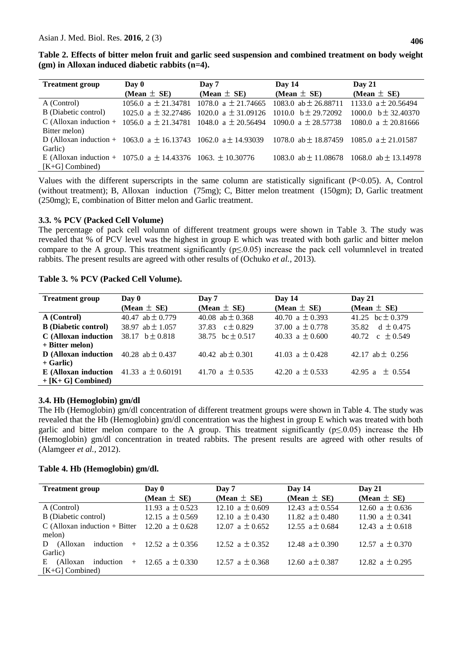|  | Table 2. Effects of bitter melon fruit and garlic seed suspension and combined treatment on body weight |  |  |  |
|--|---------------------------------------------------------------------------------------------------------|--|--|--|
|  | $(gm)$ in Alloxan induced diabetic rabbits $(n=4)$ .                                                    |  |  |  |

| <b>Treatment group</b>                                                                                                  | Day 0           | Day 7                                                                   | Day 14                   | Day 21                                            |
|-------------------------------------------------------------------------------------------------------------------------|-----------------|-------------------------------------------------------------------------|--------------------------|---------------------------------------------------|
|                                                                                                                         | (Mean $\pm$ SE) | (Mean $\pm$ SE)                                                         | (Mean $\pm$ SE)          | (Mean $\pm$ SE)                                   |
| A (Control)                                                                                                             |                 | 1056.0 a $\pm$ 21.34781 1078.0 a $\pm$ 21.74665                         | 1083.0 ab $\pm$ 26.88711 | 1133.0 $a \pm 20.56494$                           |
| B (Diabetic control)                                                                                                    |                 | 1025.0 a $\pm$ 32.27486 1020.0 a $\pm$ 31.09126 1010.0 b $\pm$ 29.72092 |                          | 1000.0 $b \pm 32.40370$                           |
| C (Alloxan induction + 1056.0 a $\pm$ 21.34781 1048.0 a $\pm$ 20.56494 1090.0 a $\pm$ 28.57738                          |                 |                                                                         |                          | 1080.0 a $\pm$ 20.81666                           |
| Bitter melon)                                                                                                           |                 |                                                                         |                          |                                                   |
| D (Alloxan induction + 1063.0 a $\pm$ 16.13743 1062.0 a $\pm$ 14.93039 1078.0 ab $\pm$ 18.87459 1085.0 a $\pm$ 21.01587 |                 |                                                                         |                          |                                                   |
| Garlic)                                                                                                                 |                 |                                                                         |                          |                                                   |
| E (Alloxan induction + 1075.0 a $\pm$ 14.43376 1063. $\pm$ 10.30776                                                     |                 |                                                                         |                          | 1083.0 ab $\pm$ 11.08678 1068.0 ab $\pm$ 13.14978 |
| $[K+G]$ Combined)                                                                                                       |                 |                                                                         |                          |                                                   |

Values with the different superscripts in the same column are statistically significant (P<0.05). A, Control (without treatment); B, Alloxan induction (75mg); C, Bitter melon treatment (150gm); D, Garlic treatment (250mg); E, combination of Bitter melon and Garlic treatment.

## **3.3. % PCV (Packed Cell Volume)**

The percentage of pack cell volumn of different treatment groups were shown in Table 3. The study was revealed that % of PCV level was the highest in group E which was treated with both garlic and bitter melon compare to the A group. This treatment significantly ( $p \le 0.05$ ) increase the pack cell volumnlevel in treated rabbits. The present results are agreed with other results of (Ochuko *et al.,* 2013).

#### **Table 3. % PCV (Packed Cell Volume).**

| <b>Treatment group</b>                             | Day 0<br>Day 7       |                      | Day $14$            | Day 21               |
|----------------------------------------------------|----------------------|----------------------|---------------------|----------------------|
|                                                    | (Mean $\pm$ SE)      | (Mean $\pm$ SE)      | (Mean $\pm$ SE)     | (Mean $\pm$ SE)      |
| A (Control)                                        | 40.47 ab $\pm$ 0.779 | 40.08 ab $\pm$ 0.368 | 40.70 a $\pm$ 0.393 | 41.25 bc $\pm$ 0.379 |
| <b>B</b> (Diabetic control)                        | 38.97 ab $\pm$ 1.057 | 37.83 $c \pm 0.829$  | 37.00 $a \pm 0.778$ | 35.82 d $\pm$ 0.475  |
| C (Alloxan induction                               | 38.17 $b \pm 0.818$  | 38.75 bc $\pm$ 0.517 | 40.33 a $\pm$ 0.600 | 40.72 c $\pm$ 0.549  |
| $+$ Bitter melon)                                  |                      |                      |                     |                      |
| <b>D</b> (Alloxan induction $40.28$ ab $\pm 0.437$ |                      | 40.42 ab $\pm$ 0.301 | 41.03 a $\pm$ 0.428 | 42.17 ab $\pm$ 0.256 |
| $+$ Garlic)                                        |                      |                      |                     |                      |
| E (Alloxan induction 41.33 a $\pm$ 0.60191         |                      | 41.70 a $\pm$ 0.535  | 42.20 a $\pm$ 0.533 | 42.95 a $\pm$ 0.554  |
| $+ [K + G]$ Combined)                              |                      |                      |                     |                      |

## **3.4. Hb (Hemoglobin) gm/dl**

The Hb (Hemoglobin) gm/dl concentration of different treatment groups were shown in Table 4. The study was revealed that the Hb (Hemoglobin) gm/dl concentration was the highest in group E which was treated with both garlic and bitter melon compare to the A group. This treatment significantly ( $p \le 0.05$ ) increase the Hb (Hemoglobin) gm/dl concentration in treated rabbits. The present results are agreed with other results of (Alamgeer *et al.,* 2012).

## **Table 4. Hb (Hemoglobin) gm/dl.**

| <b>Treatment group</b>             | Day 0<br>(Mean $\pm$ SE) | Day 7<br>(Mean $\pm$ SE) | Day $14$<br>(Mean $\pm$ SE) | Day $21$<br>(Mean $\pm$ SE) |  |
|------------------------------------|--------------------------|--------------------------|-----------------------------|-----------------------------|--|
| A (Control)                        | 11.93 a $\pm$ 0.523      | 12.10 a $\pm$ 0.609      | 12.43 $a \pm 0.554$         | 12.60 a $\pm$ 0.636         |  |
| B (Diabetic control)               | 12.15 a $\pm$ 0.569      | 12.10 a $\pm$ 0.430      | 11.82 $a \pm 0.480$         | 11.90 a $\pm$ 0.341         |  |
| $C$ (Alloxan induction + Bitter    | 12.20 a $\pm$ 0.628      | 12.07 a $\pm$ 0.652      | 12.55 $a \pm 0.684$         | 12.43 a $\pm$ 0.618         |  |
| melon)                             |                          |                          |                             |                             |  |
| induction<br>(Alloxan<br>D         | $+$ 12.52 a $\pm$ 0.356  | 12.52 a $\pm$ 0.352      | 12.48 $a \pm 0.390$         | 12.57 a $\pm$ 0.370         |  |
| Garlic)                            |                          |                          |                             |                             |  |
| induction<br>(Alloxan<br>E.<br>$+$ | 12.65 a $\pm$ 0.330      | 12.57 a $\pm$ 0.368      | 12.60 $a \pm 0.387$         | 12.82 a $\pm$ 0.295         |  |
| $[K+G]$ Combined)                  |                          |                          |                             |                             |  |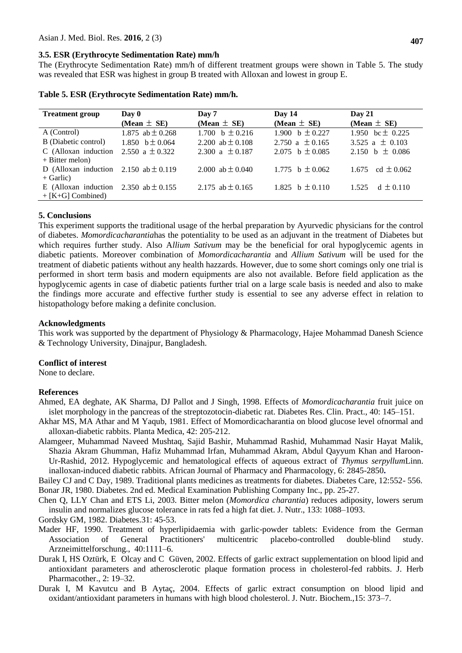# **3.5. ESR (Erythrocyte Sedimentation Rate) mm/h**

The (Erythrocyte Sedimentation Rate) mm/h of different treatment groups were shown in Table 5. The study was revealed that ESR was highest in group B treated with Alloxan and lowest in group E.

| <b>Treatment group</b>                    | Day 0                | Day $21$<br>Day $14$<br>Day 7 |                     |                      |
|-------------------------------------------|----------------------|-------------------------------|---------------------|----------------------|
|                                           | (Mean $\pm$ SE)      | (Mean $\pm$ SE)               | (Mean $\pm$ SE)     | (Mean $\pm$ SE)      |
| A (Control)                               | 1.875 ab $\pm$ 0.268 | 1.700 $b \pm 0.216$           | 1.900 b $\pm$ 0.227 | 1.950 bc $\pm$ 0.225 |
| B (Diabetic control)                      | 1.850 $b \pm 0.064$  | 2.200 ab $\pm$ 0.108          | 2.750 a $\pm$ 0.165 | 3.525 a $\pm$ 0.103  |
| C (Alloxan induction                      | 2.550 a $\pm$ 0.322  | 2.300 a $\pm$ 0.187           | 2.075 b $\pm$ 0.085 | 2.150 b $\pm$ 0.086  |
| $+$ Bitter melon)                         |                      |                               |                     |                      |
| D (Alloxan induction 2.150 ab $\pm$ 0.119 |                      | 2.000 ab $\pm$ 0.040          | 1.775 b $\pm 0.062$ | 1.675 cd $\pm 0.062$ |
| $+$ Garlic)                               |                      |                               |                     |                      |
| E (Alloxan induction                      | 2.350 ab $\pm$ 0.155 | 2.175 ab $\pm$ 0.165          | 1.825 b $\pm$ 0.110 | $d + 0.110$<br>1.525 |
| $+$ [K+G] Combined)                       |                      |                               |                     |                      |

**Table 5. ESR (Erythrocyte Sedimentation Rate) mm/h.**

#### **5. Conclusions**

This experiment supports the traditional usage of the herbal preparation by Ayurvedic physicians for the control of diabetes. *Momordicacharantia*has the potentiality to be used as an adjuvant in the treatment of Diabetes but which requires further study. Also A*llium Sativum* may be the beneficial for oral hypoglycemic agents in diabetic patients. Moreover combination of *Momordicacharantia* and *Allium Sativum* will be used for the treatment of diabetic patients without any health hazzards. However, due to some short comings only one trial is performed in short term basis and modern equipments are also not available. Before field application as the hypoglycemic agents in case of diabetic patients further trial on a large scale basis is needed and also to make the findings more accurate and effective further study is essential to see any adverse effect in relation to histopathology before making a definite conclusion.

#### **Acknowledgments**

This work was supported by the department of Physiology & Pharmacology, Hajee Mohammad Danesh Science & Technology University, Dinajpur, Bangladesh.

#### **Conflict of interest**

None to declare.

#### **References**

- Ahmed, EA deghate, AK Sharma, DJ Pallot and J Singh, 1998. Effects of *Momordicacharantia* fruit juice on islet morphology in the pancreas of the streptozotocin-diabetic rat. Diabetes Res. Clin. Pract., 40: 145–151.
- Akhar MS, MA Athar and M Yaqub, 1981. Effect of Momordicacharantia on blood glucose level ofnormal and alloxan-diabetic rabbits. Planta Medica, 42: 205-212.
- Alamgeer, Muhammad Naveed Mushtaq, Sajid Bashir, Muhammad Rashid, Muhammad Nasir Hayat Malik, Shazia Akram Ghumman, Hafiz Muhammad Irfan, Muhammad Akram, Abdul Qayyum Khan and Haroon-Ur-Rashid, 2012. Hypoglycemic and hematological effects of aqueous extract of *Thymus serpyllum*Linn. inalloxan-induced diabetic rabbits. African Journal of Pharmacy and Pharmacology*,* 6: 2845-2850**.**
- Bailey CJ and C Day, 1989. Traditional plants medicines as treatments for diabetes. Diabetes Care, 12:552- 556. Bonar JR, 1980. Diabetes. 2nd ed. Medical Examination Publishing Company Inc., pp. 25-27.
- Chen Q, LLY Chan and ETS Li, 2003. Bitter melon (*Momordica charantia*) reduces adiposity, lowers serum insulin and normalizes glucose tolerance in rats fed a high fat diet. J. Nutr., 133: 1088–1093.
- Gordsky GM, 1982. Diabetes.31: 45-53.
- Mader HF, 1990. Treatment of hyperlipidaemia with garlic-powder tablets: Evidence from the German Association of General Practitioners' multicentric placebo-controlled double-blind study. Arzneimittelforschung., 40:1111–6.
- Durak I, HS Oztürk, E Olcay and C Güven, 2002. Effects of garlic extract supplementation on blood lipid and antioxidant parameters and atherosclerotic plaque formation process in cholesterol-fed rabbits. J. Herb Pharmacother., 2: 19–32.
- Durak I, M Kavutcu and B Aytaç, 2004. Effects of garlic extract consumption on blood lipid and oxidant/antioxidant parameters in humans with high blood cholesterol. J. Nutr. Biochem.,15: 373–7.